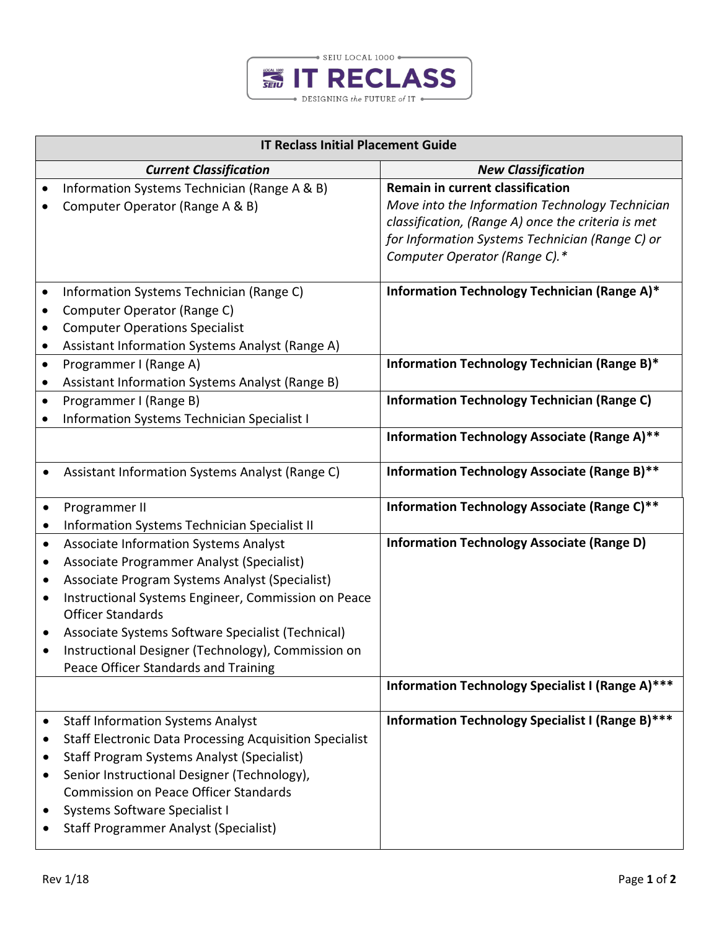

| <b>IT Reclass Initial Placement Guide</b> |                                                                                                                                                                                                                                                                                                                                                                            |                                                                                                                                                                                                                                      |  |
|-------------------------------------------|----------------------------------------------------------------------------------------------------------------------------------------------------------------------------------------------------------------------------------------------------------------------------------------------------------------------------------------------------------------------------|--------------------------------------------------------------------------------------------------------------------------------------------------------------------------------------------------------------------------------------|--|
|                                           | <b>Current Classification</b>                                                                                                                                                                                                                                                                                                                                              | <b>New Classification</b>                                                                                                                                                                                                            |  |
| $\bullet$                                 | Information Systems Technician (Range A & B)<br>Computer Operator (Range A & B)                                                                                                                                                                                                                                                                                            | <b>Remain in current classification</b><br>Move into the Information Technology Technician<br>classification, (Range A) once the criteria is met<br>for Information Systems Technician (Range C) or<br>Computer Operator (Range C).* |  |
| $\bullet$<br>$\bullet$<br>$\bullet$       | Information Systems Technician (Range C)<br>Computer Operator (Range C)<br><b>Computer Operations Specialist</b><br>Assistant Information Systems Analyst (Range A)                                                                                                                                                                                                        | Information Technology Technician (Range A)*                                                                                                                                                                                         |  |
| $\bullet$                                 | Programmer I (Range A)<br>Assistant Information Systems Analyst (Range B)                                                                                                                                                                                                                                                                                                  | Information Technology Technician (Range B)*                                                                                                                                                                                         |  |
| $\bullet$                                 | Programmer I (Range B)<br>Information Systems Technician Specialist I                                                                                                                                                                                                                                                                                                      | <b>Information Technology Technician (Range C)</b>                                                                                                                                                                                   |  |
|                                           |                                                                                                                                                                                                                                                                                                                                                                            | Information Technology Associate (Range A)**                                                                                                                                                                                         |  |
|                                           | Assistant Information Systems Analyst (Range C)                                                                                                                                                                                                                                                                                                                            | Information Technology Associate (Range B)**                                                                                                                                                                                         |  |
| ٠                                         | Programmer II                                                                                                                                                                                                                                                                                                                                                              | Information Technology Associate (Range C)**                                                                                                                                                                                         |  |
| $\bullet$                                 | Information Systems Technician Specialist II                                                                                                                                                                                                                                                                                                                               |                                                                                                                                                                                                                                      |  |
| $\bullet$<br>٠<br>٠<br>٠<br>٠<br>٠        | Associate Information Systems Analyst<br>Associate Programmer Analyst (Specialist)<br>Associate Program Systems Analyst (Specialist)<br>Instructional Systems Engineer, Commission on Peace<br><b>Officer Standards</b><br>Associate Systems Software Specialist (Technical)<br>Instructional Designer (Technology), Commission on<br>Peace Officer Standards and Training | <b>Information Technology Associate (Range D)</b>                                                                                                                                                                                    |  |
|                                           |                                                                                                                                                                                                                                                                                                                                                                            | Information Technology Specialist I (Range A)***                                                                                                                                                                                     |  |
| $\bullet$<br>٠<br>٠<br>٠<br>٠             | <b>Staff Information Systems Analyst</b><br><b>Staff Electronic Data Processing Acquisition Specialist</b><br><b>Staff Program Systems Analyst (Specialist)</b><br>Senior Instructional Designer (Technology),<br><b>Commission on Peace Officer Standards</b><br>Systems Software Specialist I<br><b>Staff Programmer Analyst (Specialist)</b>                            | Information Technology Specialist I (Range B)***                                                                                                                                                                                     |  |